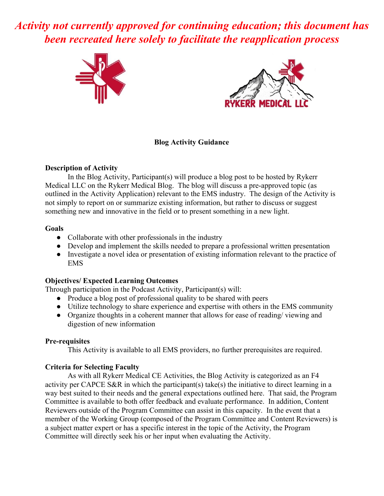*Activity not currently approved for continuing education; this document has been recreated here solely to facilitate the reapplication process*





## **Blog Activity Guidance**

## **Description of Activity**

In the Blog Activity, Participant(s) will produce a blog post to be hosted by Rykerr Medical LLC on the Rykerr Medical Blog. The blog will discuss a pre-approved topic (as outlined in the Activity Application) relevant to the EMS industry. The design of the Activity is not simply to report on or summarize existing information, but rather to discuss or suggest something new and innovative in the field or to present something in a new light.

## **Goals**

- Collaborate with other professionals in the industry
- Develop and implement the skills needed to prepare a professional written presentation
- Investigate a novel idea or presentation of existing information relevant to the practice of EMS

# **Objectives/ Expected Learning Outcomes**

Through participation in the Podcast Activity, Participant(s) will:

- **●** Produce a blog post of professional quality to be shared with peers
- **●** Utilize technology to share experience and expertise with others in the EMS community
- **●** Organize thoughts in a coherent manner that allows for ease of reading/ viewing and digestion of new information

#### **Pre-requisites**

This Activity is available to all EMS providers, no further prerequisites are required.

# **Criteria for Selecting Faculty**

As with all Rykerr Medical CE Activities, the Blog Activity is categorized as an F4 activity per CAPCE S&R in which the participant(s) take(s) the initiative to direct learning in a way best suited to their needs and the general expectations outlined here. That said, the Program Committee is available to both offer feedback and evaluate performance. In addition, Content Reviewers outside of the Program Committee can assist in this capacity. In the event that a member of the Working Group (composed of the Program Committee and Content Reviewers) is a subject matter expert or has a specific interest in the topic of the Activity, the Program Committee will directly seek his or her input when evaluating the Activity.